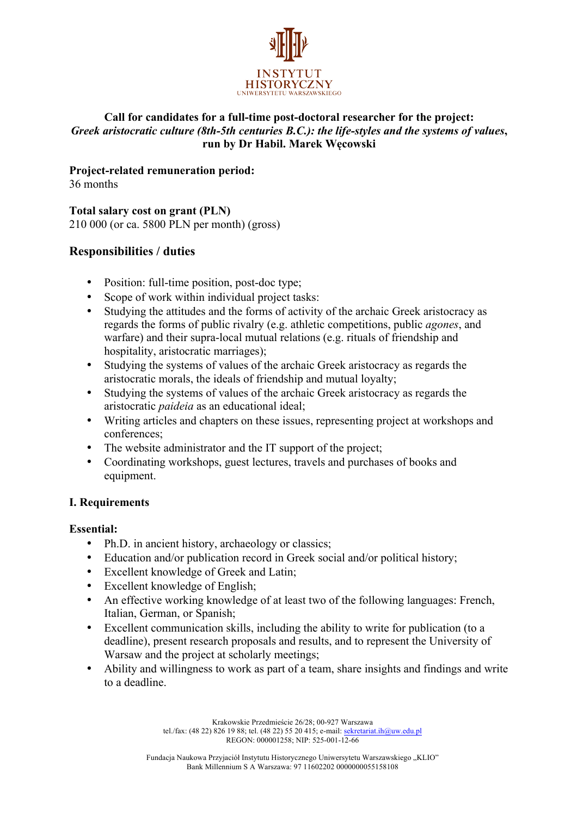

## **Call for candidates for a full-time post-doctoral researcher for the project:** *Greek aristocratic culture (8th-5th centuries B.C.): the life-styles and the systems of values***, run by Dr Habil. Marek Węcowski**

**Project-related remuneration period:**

36 months

**Total salary cost on grant (PLN)** 210 000 (or ca. 5800 PLN per month) (gross)

# **Responsibilities / duties**

- Position: full-time position, post-doc type:
- Scope of work within individual project tasks:
- Studying the attitudes and the forms of activity of the archaic Greek aristocracy as regards the forms of public rivalry (e.g. athletic competitions, public *agones*, and warfare) and their supra-local mutual relations (e.g. rituals of friendship and hospitality, aristocratic marriages);
- Studying the systems of values of the archaic Greek aristocracy as regards the aristocratic morals, the ideals of friendship and mutual loyalty;
- Studying the systems of values of the archaic Greek aristocracy as regards the aristocratic *paideia* as an educational ideal;
- Writing articles and chapters on these issues, representing project at workshops and conferences;
- The website administrator and the IT support of the project;
- Coordinating workshops, guest lectures, travels and purchases of books and equipment.

## **I. Requirements**

## **Essential:**

- Ph.D. in ancient history, archaeology or classics;
- Education and/or publication record in Greek social and/or political history;
- Excellent knowledge of Greek and Latin;
- Excellent knowledge of English;
- An effective working knowledge of at least two of the following languages: French, Italian, German, or Spanish;
- Excellent communication skills, including the ability to write for publication (to a deadline), present research proposals and results, and to represent the University of Warsaw and the project at scholarly meetings;
- Ability and willingness to work as part of a team, share insights and findings and write to a deadline.

Krakowskie Przedmieście 26/28; 00-927 Warszawa tel./fax: (48 22) 826 19 88; tel. (48 22) 55 20 415; e-mail: sekretariat.ih@uw.edu.pl REGON: 000001258; NIP: 525-001-12-66